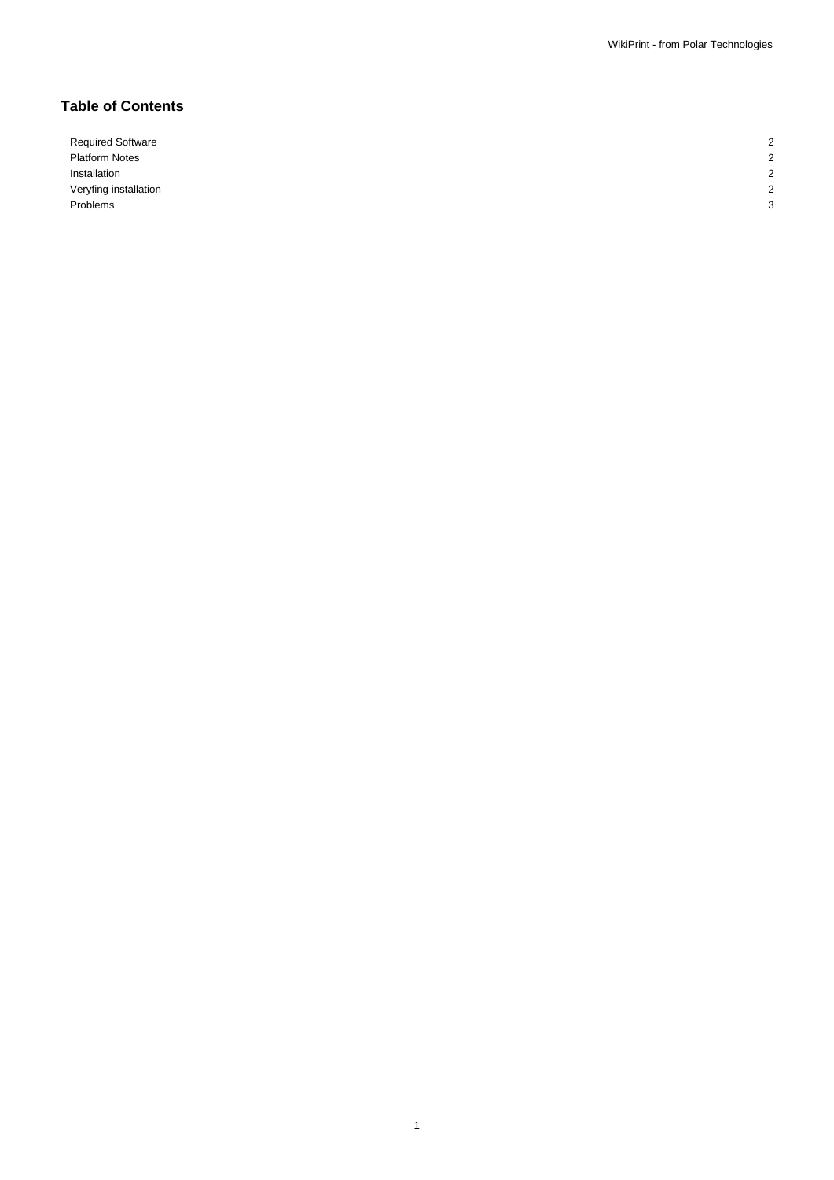1

# **Table of Contents**

Required Software 2008 Platform Notes 2 Installation 2 Veryfing installation 2 Problems 3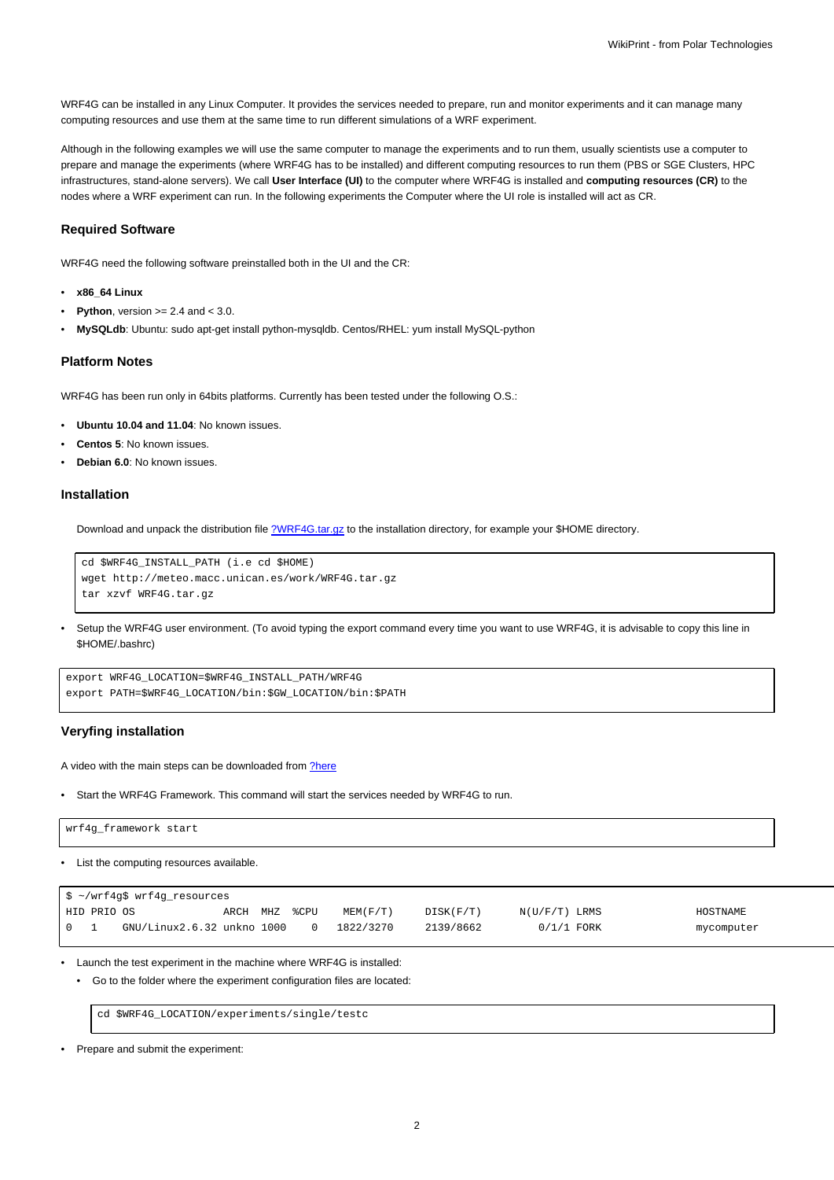WRF4G can be installed in any Linux Computer. It provides the services needed to prepare, run and monitor experiments and it can manage many computing resources and use them at the same time to run different simulations of a WRF experiment.

Although in the following examples we will use the same computer to manage the experiments and to run them, usually scientists use a computer to prepare and manage the experiments (where WRF4G has to be installed) and different computing resources to run them (PBS or SGE Clusters, HPC infrastructures, stand-alone servers). We call **User Interface (UI)** to the computer where WRF4G is installed and **computing resources (CR)** to the nodes where a WRF experiment can run. In the following experiments the Computer where the UI role is installed will act as CR.

#### **Required Software**

WRF4G need the following software preinstalled both in the UI and the CR:

- **x86\_64 Linux**
- **Python**, version  $>= 2.4$  and  $< 3.0$ .
- **MySQLdb**: Ubuntu: sudo apt-get install python-mysqldb. Centos/RHEL: yum install MySQL-python

### **Platform Notes**

WRF4G has been run only in 64bits platforms. Currently has been tested under the following O.S.:

- **Ubuntu 10.04 and 11.04**: No known issues.
- **Centos 5**: No known issues.
- **Debian 6.0**: No known issues.

#### **Installation**

Download and unpack the distribution file [?WRF4G.tar.gz](http://meteo.macc.unican.es/work/WRF4G.tar.gz) to the installation directory, for example your \$HOME directory.

```
cd $WRF4G_INSTALL_PATH (i.e cd $HOME)
wget http://meteo.macc.unican.es/work/WRF4G.tar.gz
tar xzvf WRF4G.tar.gz
```
• Setup the WRF4G user environment. (To avoid typing the export command every time you want to use WRF4G, it is advisable to copy this line in \$HOME/.bashrc)

```
export WRF4G_LOCATION=$WRF4G_INSTALL_PATH/WRF4G
export PATH=$WRF4G_LOCATION/bin:$GW_LOCATION/bin:$PATH
```
### **Veryfing installation**

A video with the main steps can be downloaded from [?here](http://meteo.macc.unican.es/work/WRF4Gdemo.mpeg)

• Start the WRF4G Framework. This command will start the services needed by WRF4G to run.

| 'wrf4g_framework start |  |  |
|------------------------|--|--|
|                        |  |  |

• List the computing resources available.

|                                 |             | \$ ~/wrf4g\$ wrf4g_resources |               |  |           |           |                 |            |
|---------------------------------|-------------|------------------------------|---------------|--|-----------|-----------|-----------------|------------|
|                                 | HID PRIO OS |                              | ARCH MHZ %CPU |  | MEM(F/T)  | DISK(F/T) | $N(U/F/T)$ LRMS | HOSTNAME   |
| $\begin{matrix} 0 \end{matrix}$ |             | GNU/Linux2.6.32 unkno 1000   |               |  | 1822/3270 | 2139/8662 | $0/1/1$ FORK    | mycomputer |

• Launch the test experiment in the machine where WRF4G is installed:

• Go to the folder where the experiment configuration files are located:

cd \$WRF4G\_LOCATION/experiments/single/testc

• Prepare and submit the experiment: